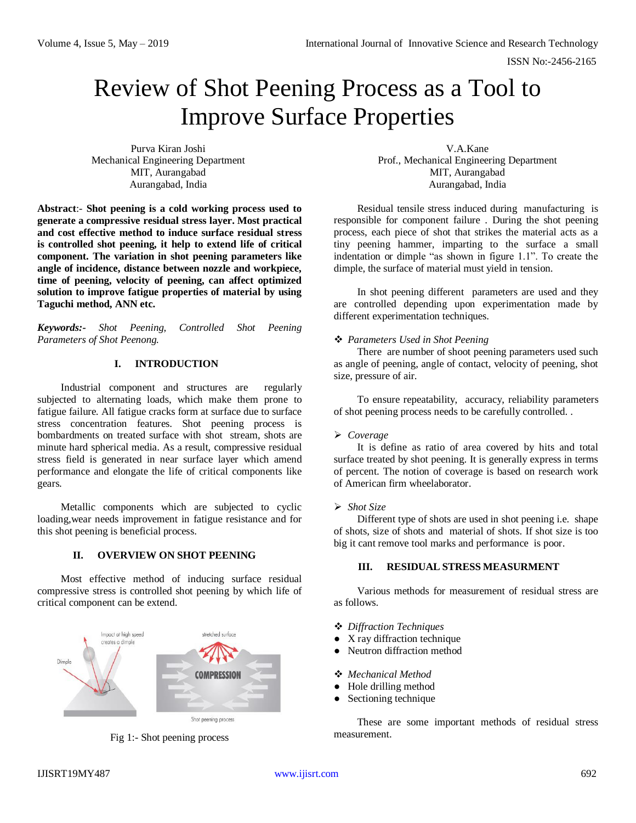# Review of Shot Peening Process as a Tool to Improve Surface Properties

Purva Kiran Joshi Mechanical Engineering Department MIT, Aurangabad Aurangabad, India

**Abstract**:- **Shot peening is a cold working process used to generate a compressive residual stress layer. Most practical and cost effective method to induce surface residual stress is controlled shot peening, it help to extend life of critical component. The variation in shot peening parameters like angle of incidence, distance between nozzle and workpiece, time of peening, velocity of peening, can affect optimized solution to improve fatigue properties of material by using Taguchi method, ANN etc.**

*Keywords:- Shot Peening, Controlled Shot Peening Parameters of Shot Peenong.*

## **I. INTRODUCTION**

Industrial component and structures are regularly subjected to alternating loads, which make them prone to fatigue failure. All fatigue cracks form at surface due to surface stress concentration features. Shot peening process is bombardments on treated surface with shot stream, shots are minute hard spherical media. As a result, compressive residual stress field is generated in near surface layer which amend performance and elongate the life of critical components like gears.

Metallic components which are subjected to cyclic loading,wear needs improvement in fatigue resistance and for this shot peening is beneficial process.

## **II. OVERVIEW ON SHOT PEENING**

Most effective method of inducing surface residual compressive stress is controlled shot peening by which life of critical component can be extend.



Fig 1:- Shot peening process

V.A.Kane Prof., Mechanical Engineering Department MIT, Aurangabad Aurangabad, India

Residual tensile stress induced during manufacturing is responsible for component failure . During the shot peening process, each piece of shot that strikes the material acts as a tiny peening hammer, imparting to the surface a small indentation or dimple "as shown in figure 1.1". To create the dimple, the surface of material must yield in tension.

In shot peening different parameters are used and they are controlled depending upon experimentation made by different experimentation techniques.

## *Parameters Used in Shot Peening*

There are number of shoot peening parameters used such as angle of peening, angle of contact, velocity of peening, shot size, pressure of air.

To ensure repeatability, accuracy, reliability parameters of shot peening process needs to be carefully controlled. .

#### *Coverage*

It is define as ratio of area covered by hits and total surface treated by shot peening. It is generally express in terms of percent. The notion of coverage is based on research work of American firm wheelaborator.

#### *Shot Size*

Different type of shots are used in shot peening i.e. shape of shots, size of shots and material of shots. If shot size is too big it cant remove tool marks and performance is poor.

### **III. RESIDUAL STRESS MEASURMENT**

Various methods for measurement of residual stress are as follows.

- *Diffraction Techniques*
- X ray diffraction technique
- Neutron diffraction method
- *Mechanical Method*
- Hole drilling method
- Sectioning technique

These are some important methods of residual stress measurement.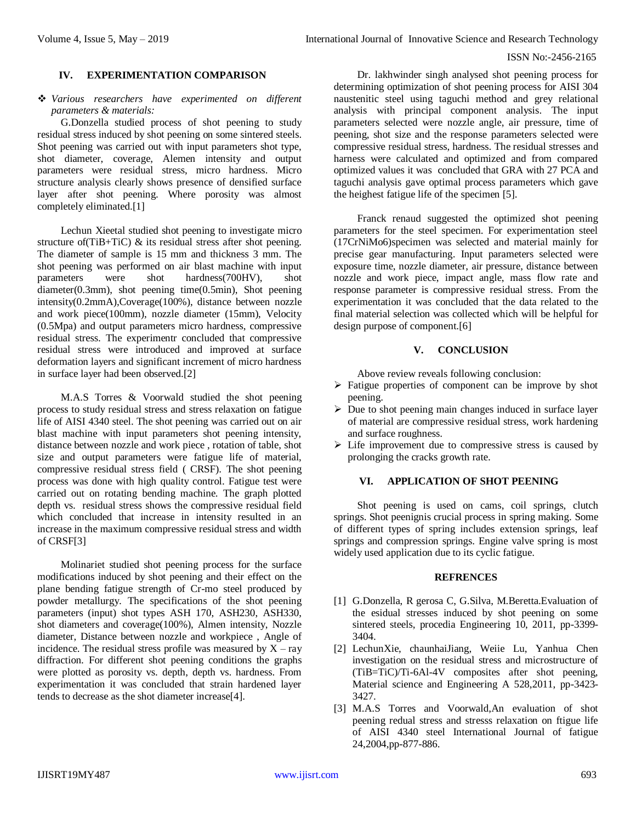#### ISSN No:-2456-2165

## **IV. EXPERIMENTATION COMPARISON**

## *Various researchers have experimented on different parameters & materials:*

G.Donzella studied process of shot peening to study residual stress induced by shot peening on some sintered steels. Shot peening was carried out with input parameters shot type, shot diameter, coverage, Alemen intensity and output parameters were residual stress, micro hardness. Micro structure analysis clearly shows presence of densified surface layer after shot peening. Where porosity was almost completely eliminated.[1]

Lechun Xieetal studied shot peening to investigate micro structure of  $(TiB+TiC)$  & its residual stress after shot peening. The diameter of sample is 15 mm and thickness 3 mm. The shot peening was performed on air blast machine with input parameters were shot hardness(700HV), shot diameter(0.3mm), shot peening time(0.5min), Shot peening intensity(0.2mmA),Coverage(100%), distance between nozzle and work piece(100mm), nozzle diameter (15mm), Velocity (0.5Mpa) and output parameters micro hardness, compressive residual stress. The experimentr concluded that compressive residual stress were introduced and improved at surface deformation layers and significant increment of micro hardness in surface layer had been observed.[2]

M.A.S Torres & Voorwald studied the shot peening process to study residual stress and stress relaxation on fatigue life of AISI 4340 steel. The shot peening was carried out on air blast machine with input parameters shot peening intensity, distance between nozzle and work piece , rotation of table, shot size and output parameters were fatigue life of material, compressive residual stress field ( CRSF). The shot peening process was done with high quality control. Fatigue test were carried out on rotating bending machine. The graph plotted depth vs. residual stress shows the compressive residual field which concluded that increase in intensity resulted in an increase in the maximum compressive residual stress and width of CRSF[3]

Molinariet studied shot peening process for the surface modifications induced by shot peening and their effect on the plane bending fatigue strength of Cr-mo steel produced by powder metallurgy. The specifications of the shot peening parameters (input) shot types ASH 170, ASH230, ASH330, shot diameters and coverage(100%), Almen intensity, Nozzle diameter, Distance between nozzle and workpiece , Angle of incidence. The residual stress profile was measured by  $X - ray$ diffraction. For different shot peening conditions the graphs were plotted as porosity vs. depth, depth vs. hardness. From experimentation it was concluded that strain hardened layer tends to decrease as the shot diameter increase[4].

Dr. lakhwinder singh analysed shot peening process for determining optimization of shot peening process for AISI 304 naustenitic steel using taguchi method and grey relational analysis with principal component analysis. The input parameters selected were nozzle angle, air pressure, time of peening, shot size and the response parameters selected were compressive residual stress, hardness. The residual stresses and harness were calculated and optimized and from compared optimized values it was concluded that GRA with 27 PCA and taguchi analysis gave optimal process parameters which gave the heighest fatigue life of the specimen [5].

Franck renaud suggested the optimized shot peening parameters for the steel specimen. For experimentation steel (17CrNiMo6)specimen was selected and material mainly for precise gear manufacturing. Input parameters selected were exposure time, nozzle diameter, air pressure, distance between nozzle and work piece, impact angle, mass flow rate and response parameter is compressive residual stress. From the experimentation it was concluded that the data related to the final material selection was collected which will be helpful for design purpose of component.[6]

## **V. CONCLUSION**

Above review reveals following conclusion:

- $\triangleright$  Fatigue properties of component can be improve by shot peening.
- $\triangleright$  Due to shot peening main changes induced in surface layer of material are compressive residual stress, work hardening and surface roughness.
- $\triangleright$  Life improvement due to compressive stress is caused by prolonging the cracks growth rate.

## **VI. APPLICATION OF SHOT PEENING**

Shot peening is used on cams, coil springs, clutch springs. Shot peenignis crucial process in spring making. Some of different types of spring includes extension springs, leaf springs and compression springs. Engine valve spring is most widely used application due to its cyclic fatigue.

## **REFRENCES**

- [1] G.Donzella, R gerosa C, G.Silva, M.Beretta.Evaluation of the esidual stresses induced by shot peening on some sintered steels, procedia Engineering 10, 2011, pp-3399- 3404.
- [2] LechunXie, chaunhaiJiang, Weiie Lu, Yanhua Chen investigation on the residual stress and microstructure of (TiB=TiC)/Ti-6Al-4V composites after shot peening, Material science and Engineering A 528,2011, pp-3423- 3427.
- [3] M.A.S Torres and Voorwald,An evaluation of shot peening redual stress and stresss relaxation on ftigue life of AISI 4340 steel International Journal of fatigue 24,2004,pp-877-886.